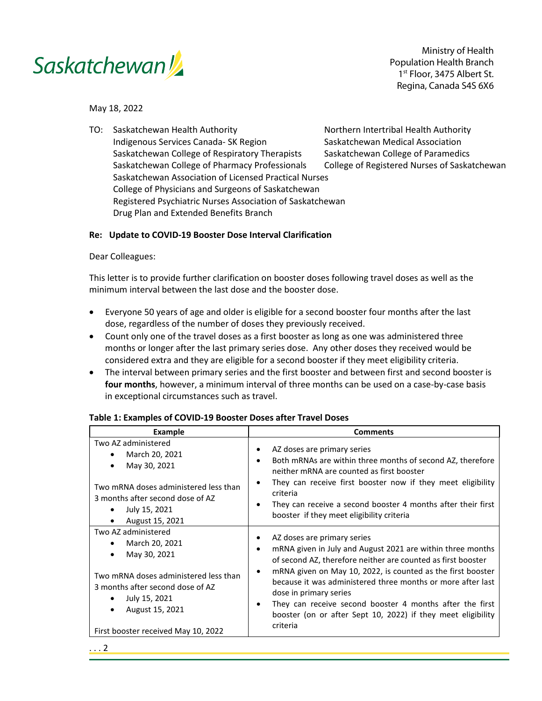

Ministry of Health Population Health Branch 1st Floor, 3475 Albert St. Regina, Canada S4S 6X6

May 18, 2022

TO: Saskatchewan Health Authority Northern Intertribal Health Authority Indigenous Services Canada- SK Region Saskatchewan Medical Association Saskatchewan College of Respiratory Therapists Saskatchewan College of Paramedics Saskatchewan College of Pharmacy Professionals College of Registered Nurses of Saskatchewan Saskatchewan Association of Licensed Practical Nurses College of Physicians and Surgeons of Saskatchewan Registered Psychiatric Nurses Association of Saskatchewan Drug Plan and Extended Benefits Branch

## **Re: Update to COVID-19 Booster Dose Interval Clarification**

Dear Colleagues:

This letter is to provide further clarification on booster doses following travel doses as well as the minimum interval between the last dose and the booster dose.

- Everyone 50 years of age and older is eligible for a second booster four months after the last dose, regardless of the number of doses they previously received.
- Count only one of the travel doses as a first booster as long as one was administered three months or longer after the last primary series dose. Any other doses they received would be considered extra and they are eligible for a second booster if they meet eligibility criteria.
- The interval between primary series and the first booster and between first and second booster is **four months**, however, a minimum interval of three months can be used on a case-by-case basis in exceptional circumstances such as travel.

| Example                                                                                                                                                                                                                    | <b>Comments</b>                                                                                                                                                                                                                                                                                                                                                                                                                                           |
|----------------------------------------------------------------------------------------------------------------------------------------------------------------------------------------------------------------------------|-----------------------------------------------------------------------------------------------------------------------------------------------------------------------------------------------------------------------------------------------------------------------------------------------------------------------------------------------------------------------------------------------------------------------------------------------------------|
| Two AZ administered<br>March 20, 2021<br>May 30, 2021<br>Two mRNA doses administered less than<br>3 months after second dose of AZ<br>July 15, 2021<br>August 15, 2021<br>$\bullet$                                        | AZ doses are primary series<br>Both mRNAs are within three months of second AZ, therefore<br>neither mRNA are counted as first booster<br>They can receive first booster now if they meet eligibility<br>criteria<br>They can receive a second booster 4 months after their first<br>booster if they meet eligibility criteria                                                                                                                            |
| Two AZ administered<br>March 20, 2021<br>May 30, 2021<br>$\bullet$<br>Two mRNA doses administered less than<br>3 months after second dose of AZ<br>July 15, 2021<br>August 15, 2021<br>First booster received May 10, 2022 | AZ doses are primary series<br>mRNA given in July and August 2021 are within three months<br>of second AZ, therefore neither are counted as first booster<br>mRNA given on May 10, 2022, is counted as the first booster<br>because it was administered three months or more after last<br>dose in primary series<br>They can receive second booster 4 months after the first<br>booster (on or after Sept 10, 2022) if they meet eligibility<br>criteria |

## **Table 1: Examples of COVID-19 Booster Doses after Travel Doses**